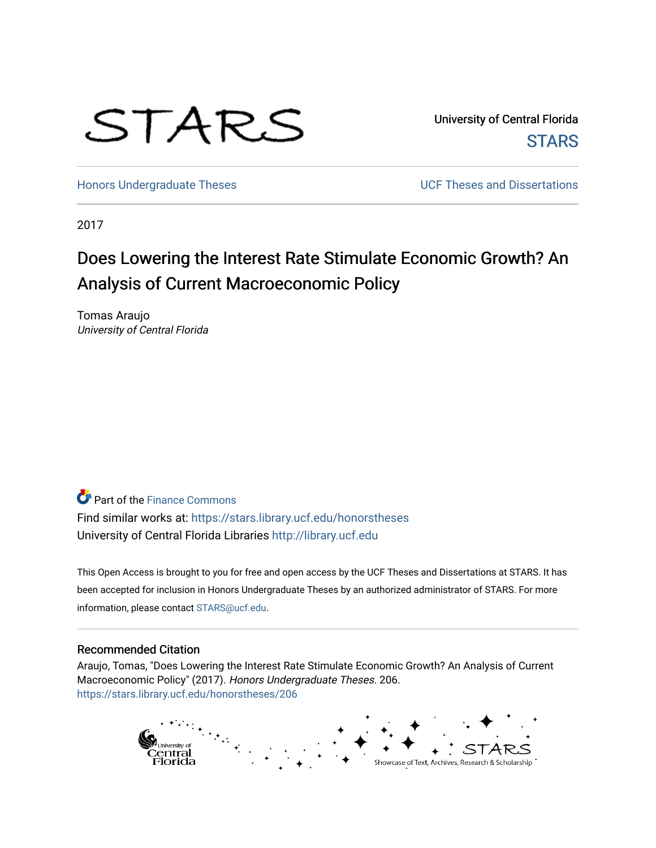

University of Central Florida **STARS** 

[Honors Undergraduate Theses](https://stars.library.ucf.edu/honorstheses) **No. 2018** UCF Theses and Dissertations

2017

# Does Lowering the Interest Rate Stimulate Economic Growth? An Analysis of Current Macroeconomic Policy

Tomas Araujo University of Central Florida

**P** Part of the Finance Commons

Find similar works at: <https://stars.library.ucf.edu/honorstheses> University of Central Florida Libraries [http://library.ucf.edu](http://library.ucf.edu/) 

This Open Access is brought to you for free and open access by the UCF Theses and Dissertations at STARS. It has been accepted for inclusion in Honors Undergraduate Theses by an authorized administrator of STARS. For more information, please contact [STARS@ucf.edu.](mailto:STARS@ucf.edu)

### Recommended Citation

Araujo, Tomas, "Does Lowering the Interest Rate Stimulate Economic Growth? An Analysis of Current Macroeconomic Policy" (2017). Honors Undergraduate Theses. 206. [https://stars.library.ucf.edu/honorstheses/206](https://stars.library.ucf.edu/honorstheses/206?utm_source=stars.library.ucf.edu%2Fhonorstheses%2F206&utm_medium=PDF&utm_campaign=PDFCoverPages) 

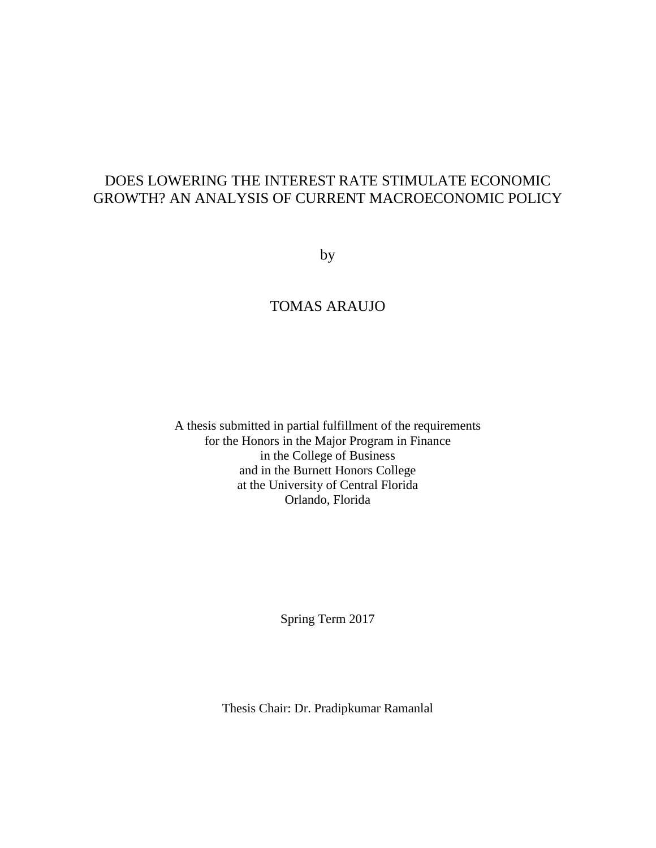## DOES LOWERING THE INTEREST RATE STIMULATE ECONOMIC GROWTH? AN ANALYSIS OF CURRENT MACROECONOMIC POLICY

by

## TOMAS ARAUJO

A thesis submitted in partial fulfillment of the requirements for the Honors in the Major Program in Finance in the College of Business and in the Burnett Honors College at the University of Central Florida Orlando, Florida

Spring Term 2017

Thesis Chair: Dr. Pradipkumar Ramanlal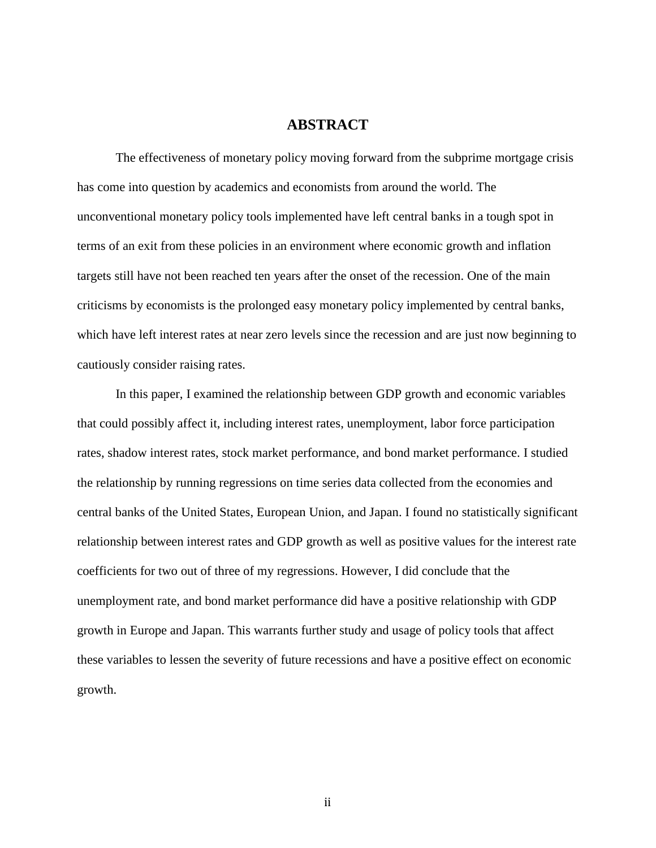## **ABSTRACT**

The effectiveness of monetary policy moving forward from the subprime mortgage crisis has come into question by academics and economists from around the world. The unconventional monetary policy tools implemented have left central banks in a tough spot in terms of an exit from these policies in an environment where economic growth and inflation targets still have not been reached ten years after the onset of the recession. One of the main criticisms by economists is the prolonged easy monetary policy implemented by central banks, which have left interest rates at near zero levels since the recession and are just now beginning to cautiously consider raising rates.

In this paper, I examined the relationship between GDP growth and economic variables that could possibly affect it, including interest rates, unemployment, labor force participation rates, shadow interest rates, stock market performance, and bond market performance. I studied the relationship by running regressions on time series data collected from the economies and central banks of the United States, European Union, and Japan. I found no statistically significant relationship between interest rates and GDP growth as well as positive values for the interest rate coefficients for two out of three of my regressions. However, I did conclude that the unemployment rate, and bond market performance did have a positive relationship with GDP growth in Europe and Japan. This warrants further study and usage of policy tools that affect these variables to lessen the severity of future recessions and have a positive effect on economic growth.

ii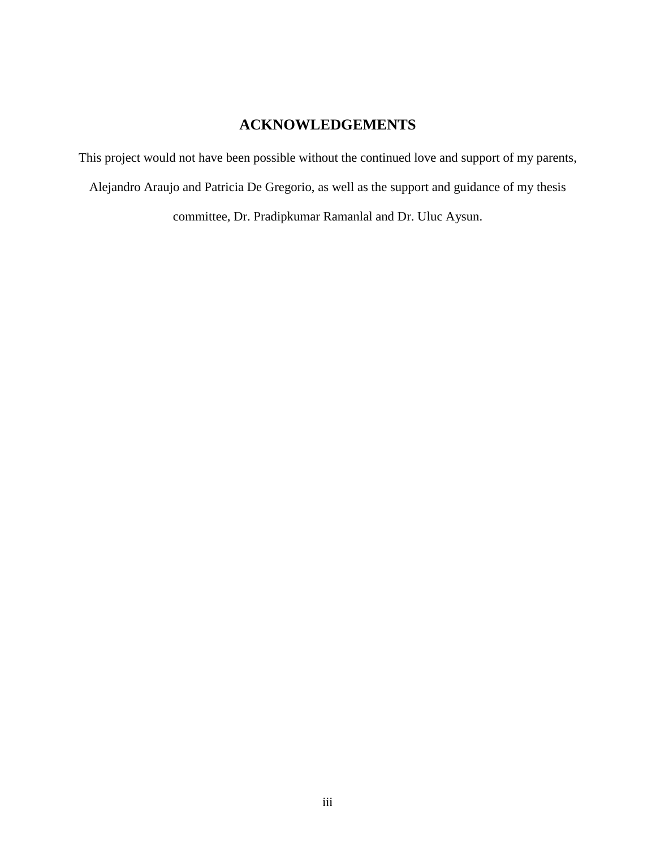## **ACKNOWLEDGEMENTS**

This project would not have been possible without the continued love and support of my parents, Alejandro Araujo and Patricia De Gregorio, as well as the support and guidance of my thesis

committee, Dr. Pradipkumar Ramanlal and Dr. Uluc Aysun.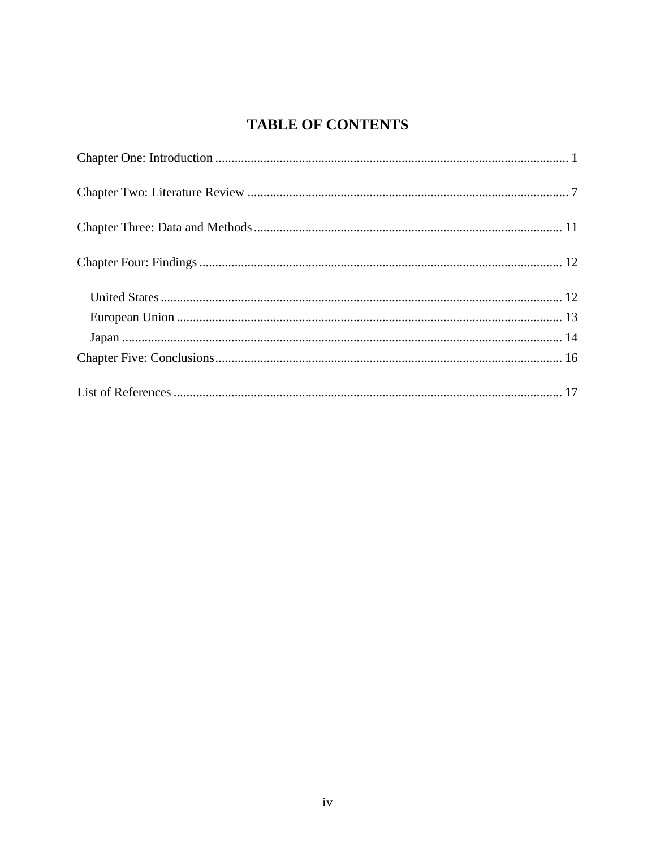# **TABLE OF CONTENTS**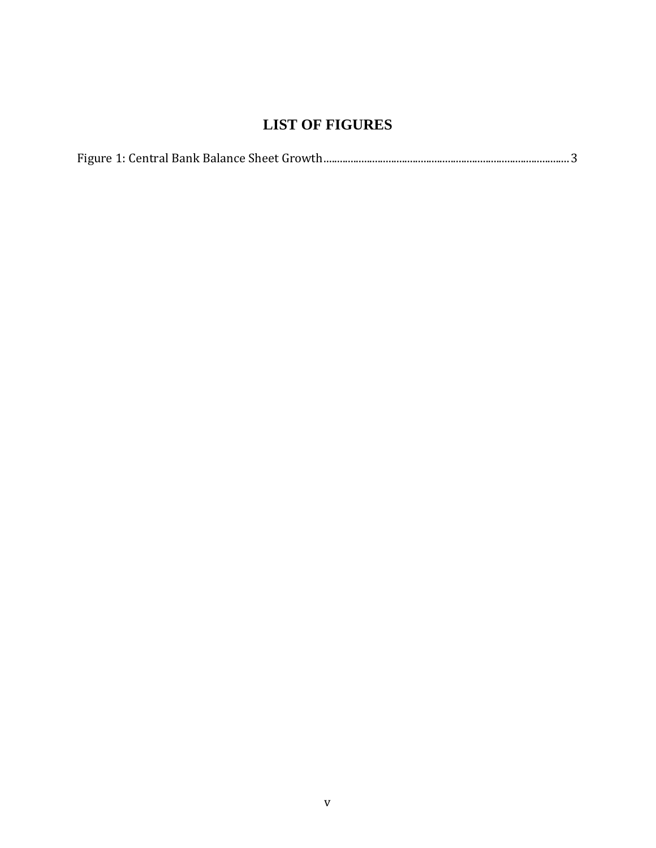## **LIST OF FIGURES**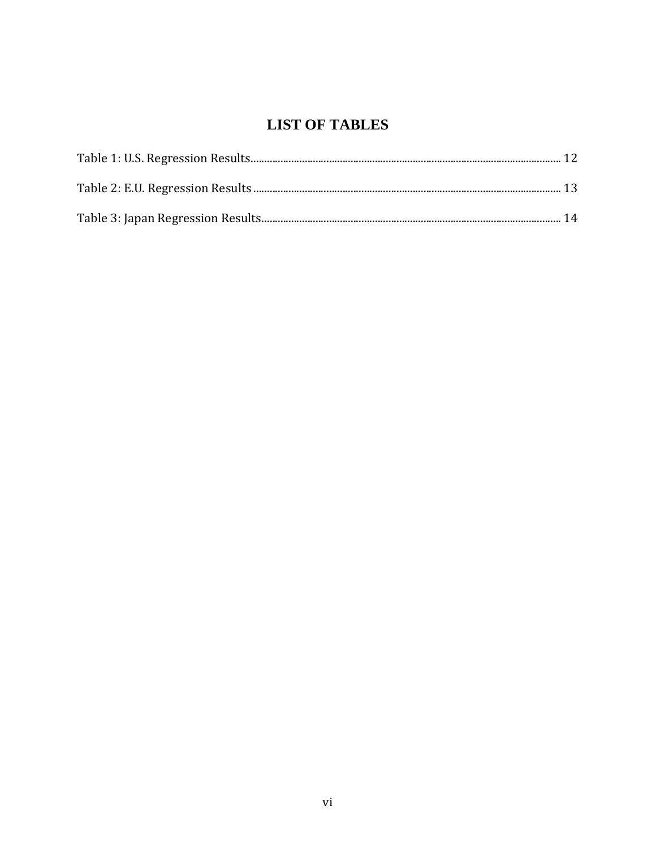# **LIST OF TABLES**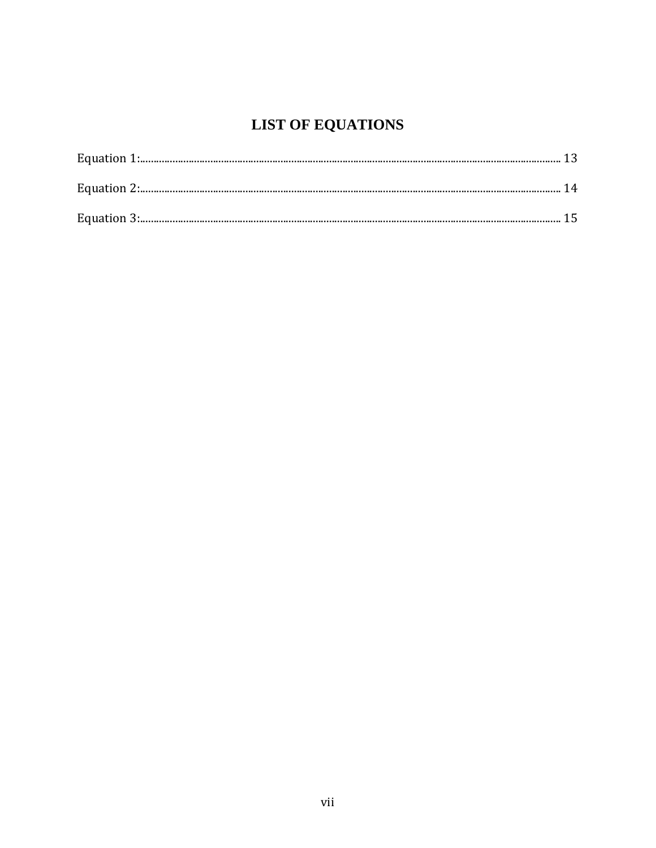# **LIST OF EQUATIONS**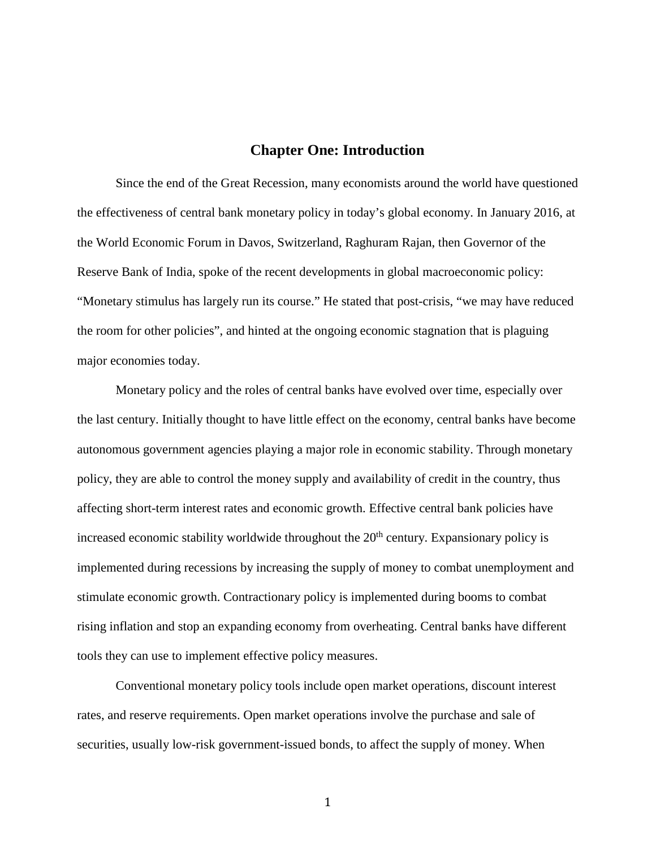## **Chapter One: Introduction**

Since the end of the Great Recession, many economists around the world have questioned the effectiveness of central bank monetary policy in today's global economy. In January 2016, at the World Economic Forum in Davos, Switzerland, Raghuram Rajan, then Governor of the Reserve Bank of India, spoke of the recent developments in global macroeconomic policy: "Monetary stimulus has largely run its course." He stated that post-crisis, "we may have reduced the room for other policies", and hinted at the ongoing economic stagnation that is plaguing major economies today.

Monetary policy and the roles of central banks have evolved over time, especially over the last century. Initially thought to have little effect on the economy, central banks have become autonomous government agencies playing a major role in economic stability. Through monetary policy, they are able to control the money supply and availability of credit in the country, thus affecting short-term interest rates and economic growth. Effective central bank policies have increased economic stability worldwide throughout the  $20<sup>th</sup>$  century. Expansionary policy is implemented during recessions by increasing the supply of money to combat unemployment and stimulate economic growth. Contractionary policy is implemented during booms to combat rising inflation and stop an expanding economy from overheating. Central banks have different tools they can use to implement effective policy measures.

Conventional monetary policy tools include open market operations, discount interest rates, and reserve requirements. Open market operations involve the purchase and sale of securities, usually low-risk government-issued bonds, to affect the supply of money. When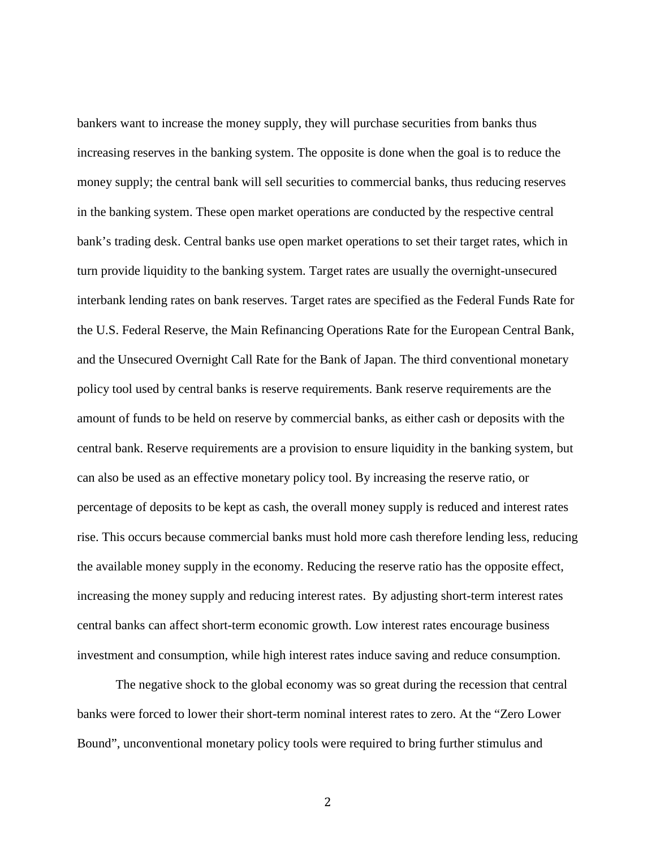bankers want to increase the money supply, they will purchase securities from banks thus increasing reserves in the banking system. The opposite is done when the goal is to reduce the money supply; the central bank will sell securities to commercial banks, thus reducing reserves in the banking system. These open market operations are conducted by the respective central bank's trading desk. Central banks use open market operations to set their target rates, which in turn provide liquidity to the banking system. Target rates are usually the overnight-unsecured interbank lending rates on bank reserves. Target rates are specified as the Federal Funds Rate for the U.S. Federal Reserve, the Main Refinancing Operations Rate for the European Central Bank, and the Unsecured Overnight Call Rate for the Bank of Japan. The third conventional monetary policy tool used by central banks is reserve requirements. Bank reserve requirements are the amount of funds to be held on reserve by commercial banks, as either cash or deposits with the central bank. Reserve requirements are a provision to ensure liquidity in the banking system, but can also be used as an effective monetary policy tool. By increasing the reserve ratio, or percentage of deposits to be kept as cash, the overall money supply is reduced and interest rates rise. This occurs because commercial banks must hold more cash therefore lending less, reducing the available money supply in the economy. Reducing the reserve ratio has the opposite effect, increasing the money supply and reducing interest rates. By adjusting short-term interest rates central banks can affect short-term economic growth. Low interest rates encourage business investment and consumption, while high interest rates induce saving and reduce consumption.

The negative shock to the global economy was so great during the recession that central banks were forced to lower their short-term nominal interest rates to zero. At the "Zero Lower Bound", unconventional monetary policy tools were required to bring further stimulus and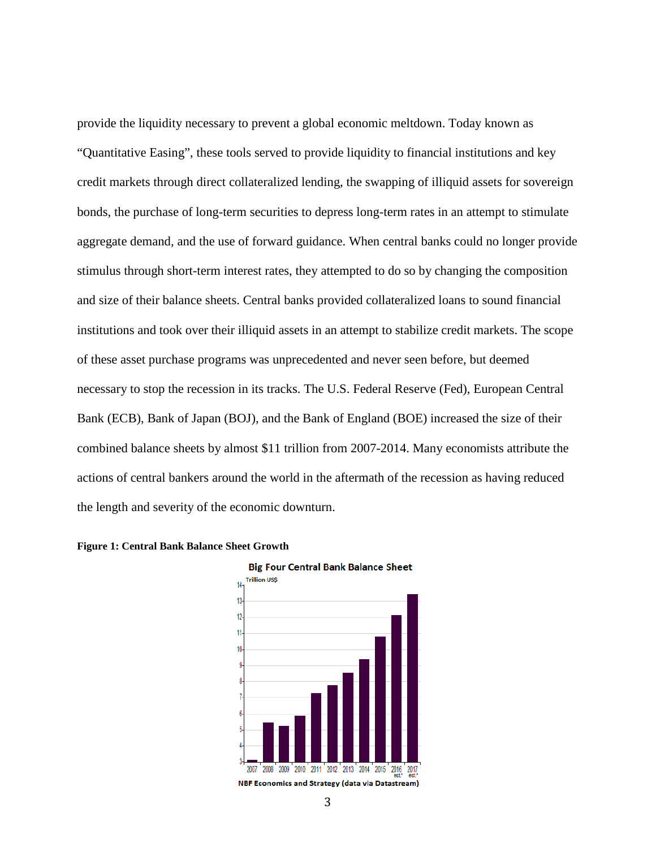provide the liquidity necessary to prevent a global economic meltdown. Today known as "Quantitative Easing", these tools served to provide liquidity to financial institutions and key credit markets through direct collateralized lending, the swapping of illiquid assets for sovereign bonds, the purchase of long-term securities to depress long-term rates in an attempt to stimulate aggregate demand, and the use of forward guidance. When central banks could no longer provide stimulus through short-term interest rates, they attempted to do so by changing the composition and size of their balance sheets. Central banks provided collateralized loans to sound financial institutions and took over their illiquid assets in an attempt to stabilize credit markets. The scope of these asset purchase programs was unprecedented and never seen before, but deemed necessary to stop the recession in its tracks. The U.S. Federal Reserve (Fed), European Central Bank (ECB), Bank of Japan (BOJ), and the Bank of England (BOE) increased the size of their combined balance sheets by almost \$11 trillion from 2007-2014. Many economists attribute the actions of central bankers around the world in the aftermath of the recession as having reduced the length and severity of the economic downturn.





<sup>3</sup>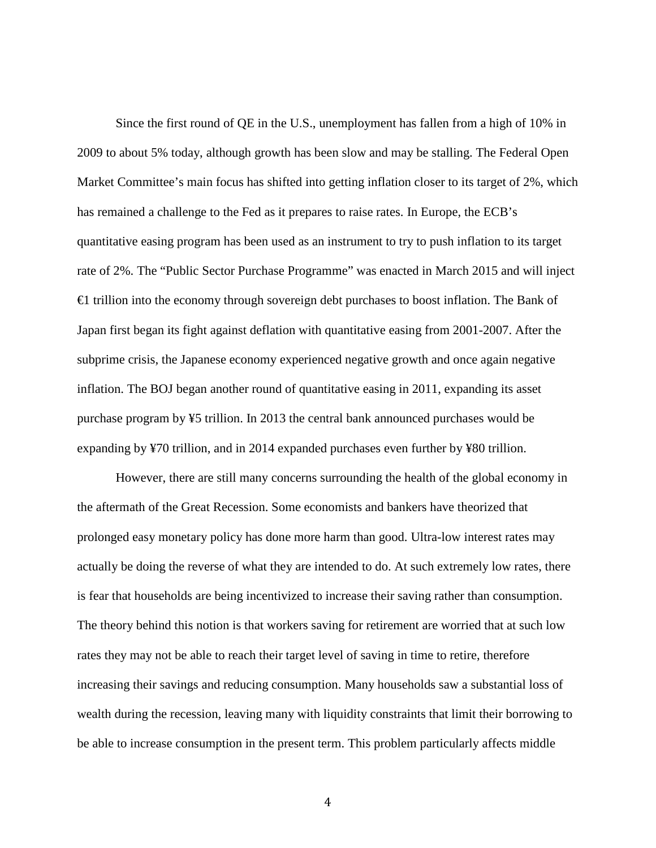Since the first round of QE in the U.S., unemployment has fallen from a high of 10% in 2009 to about 5% today, although growth has been slow and may be stalling. The Federal Open Market Committee's main focus has shifted into getting inflation closer to its target of 2%, which has remained a challenge to the Fed as it prepares to raise rates. In Europe, the ECB's quantitative easing program has been used as an instrument to try to push inflation to its target rate of 2%. The "Public Sector Purchase Programme" was enacted in March 2015 and will inject €1 trillion into the economy through sovereign debt purchases to boost inflation. The Bank of Japan first began its fight against deflation with quantitative easing from 2001-2007. After the subprime crisis, the Japanese economy experienced negative growth and once again negative inflation. The BOJ began another round of quantitative easing in 2011, expanding its asset purchase program by ¥5 trillion. In 2013 the central bank announced purchases would be expanding by ¥70 trillion, and in 2014 expanded purchases even further by ¥80 trillion.

However, there are still many concerns surrounding the health of the global economy in the aftermath of the Great Recession. Some economists and bankers have theorized that prolonged easy monetary policy has done more harm than good. Ultra-low interest rates may actually be doing the reverse of what they are intended to do. At such extremely low rates, there is fear that households are being incentivized to increase their saving rather than consumption. The theory behind this notion is that workers saving for retirement are worried that at such low rates they may not be able to reach their target level of saving in time to retire, therefore increasing their savings and reducing consumption. Many households saw a substantial loss of wealth during the recession, leaving many with liquidity constraints that limit their borrowing to be able to increase consumption in the present term. This problem particularly affects middle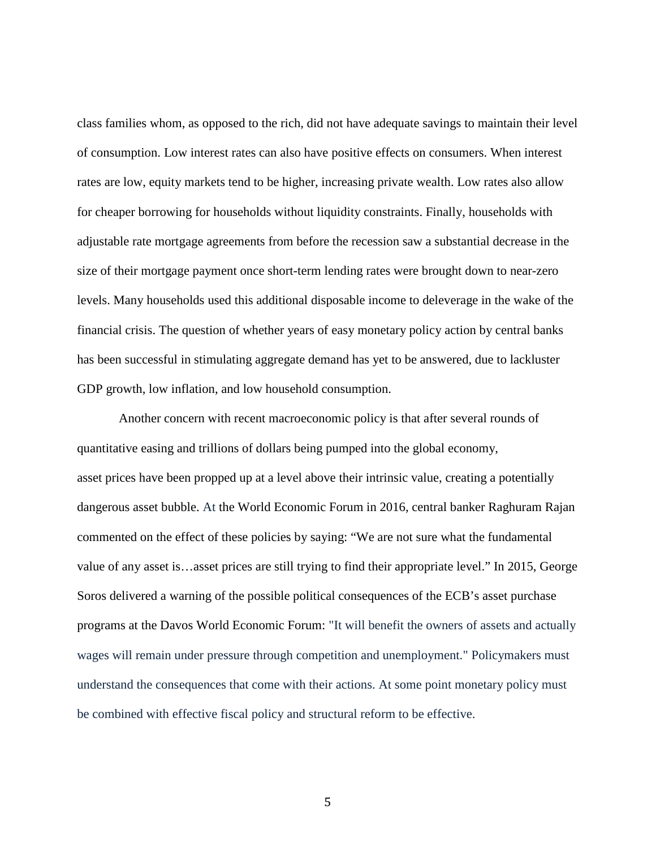class families whom, as opposed to the rich, did not have adequate savings to maintain their level of consumption. Low interest rates can also have positive effects on consumers. When interest rates are low, equity markets tend to be higher, increasing private wealth. Low rates also allow for cheaper borrowing for households without liquidity constraints. Finally, households with adjustable rate mortgage agreements from before the recession saw a substantial decrease in the size of their mortgage payment once short-term lending rates were brought down to near-zero levels. Many households used this additional disposable income to deleverage in the wake of the financial crisis. The question of whether years of easy monetary policy action by central banks has been successful in stimulating aggregate demand has yet to be answered, due to lackluster GDP growth, low inflation, and low household consumption.

Another concern with recent macroeconomic policy is that after several rounds of quantitative easing and trillions of dollars being pumped into the global economy, asset prices have been propped up at a level above their intrinsic value, creating a potentially dangerous asset bubble. At the World Economic Forum in 2016, central banker Raghuram Rajan commented on the effect of these policies by saying: "We are not sure what the fundamental value of any asset is…asset prices are still trying to find their appropriate level." In 2015, George Soros delivered a warning of the possible political consequences of the ECB's asset purchase programs at the Davos World Economic Forum: "It will benefit the owners of assets and actually wages will remain under pressure through competition and unemployment." Policymakers must understand the consequences that come with their actions. At some point monetary policy must be combined with effective fiscal policy and structural reform to be effective.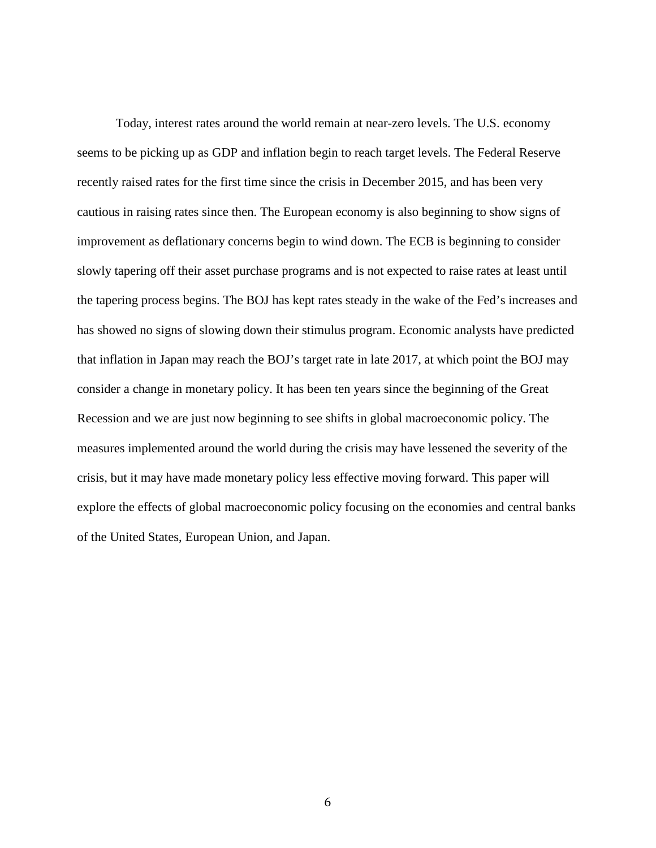Today, interest rates around the world remain at near-zero levels. The U.S. economy seems to be picking up as GDP and inflation begin to reach target levels. The Federal Reserve recently raised rates for the first time since the crisis in December 2015, and has been very cautious in raising rates since then. The European economy is also beginning to show signs of improvement as deflationary concerns begin to wind down. The ECB is beginning to consider slowly tapering off their asset purchase programs and is not expected to raise rates at least until the tapering process begins. The BOJ has kept rates steady in the wake of the Fed's increases and has showed no signs of slowing down their stimulus program. Economic analysts have predicted that inflation in Japan may reach the BOJ's target rate in late 2017, at which point the BOJ may consider a change in monetary policy. It has been ten years since the beginning of the Great Recession and we are just now beginning to see shifts in global macroeconomic policy. The measures implemented around the world during the crisis may have lessened the severity of the crisis, but it may have made monetary policy less effective moving forward. This paper will explore the effects of global macroeconomic policy focusing on the economies and central banks of the United States, European Union, and Japan.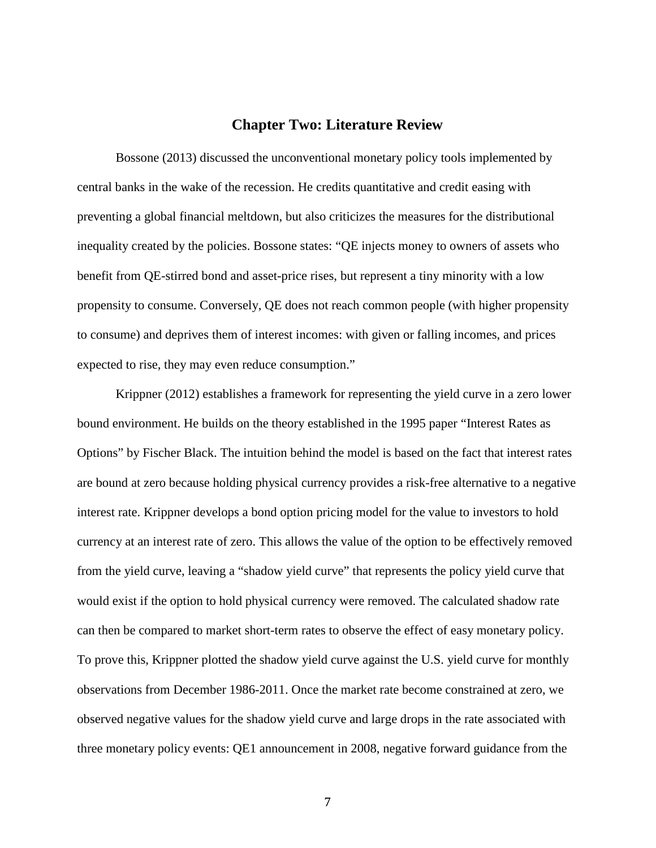## **Chapter Two: Literature Review**

Bossone (2013) discussed the unconventional monetary policy tools implemented by central banks in the wake of the recession. He credits quantitative and credit easing with preventing a global financial meltdown, but also criticizes the measures for the distributional inequality created by the policies. Bossone states: "QE injects money to owners of assets who benefit from QE-stirred bond and asset-price rises, but represent a tiny minority with a low propensity to consume. Conversely, QE does not reach common people (with higher propensity to consume) and deprives them of interest incomes: with given or falling incomes, and prices expected to rise, they may even reduce consumption."

Krippner (2012) establishes a framework for representing the yield curve in a zero lower bound environment. He builds on the theory established in the 1995 paper "Interest Rates as Options" by Fischer Black. The intuition behind the model is based on the fact that interest rates are bound at zero because holding physical currency provides a risk-free alternative to a negative interest rate. Krippner develops a bond option pricing model for the value to investors to hold currency at an interest rate of zero. This allows the value of the option to be effectively removed from the yield curve, leaving a "shadow yield curve" that represents the policy yield curve that would exist if the option to hold physical currency were removed. The calculated shadow rate can then be compared to market short-term rates to observe the effect of easy monetary policy. To prove this, Krippner plotted the shadow yield curve against the U.S. yield curve for monthly observations from December 1986-2011. Once the market rate become constrained at zero, we observed negative values for the shadow yield curve and large drops in the rate associated with three monetary policy events: QE1 announcement in 2008, negative forward guidance from the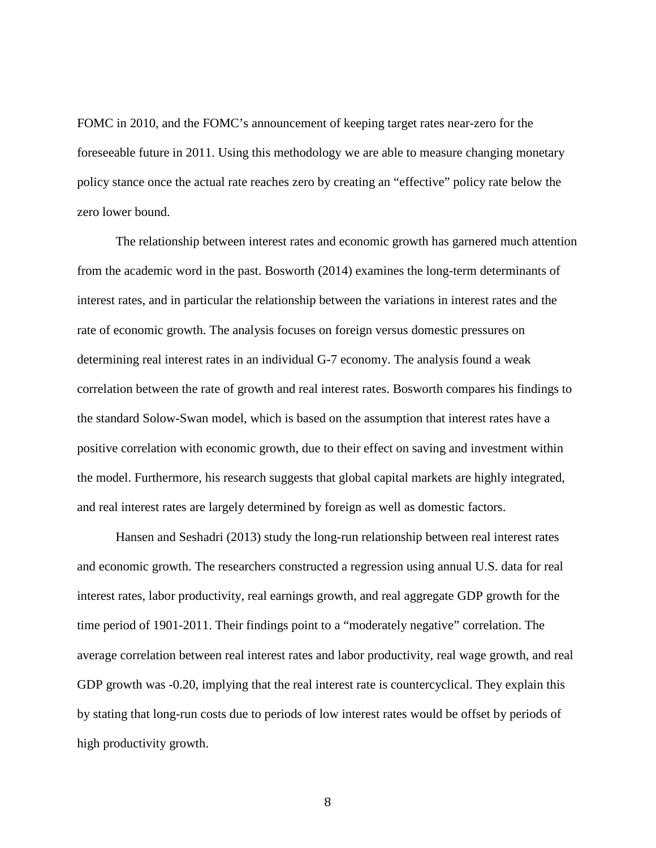FOMC in 2010, and the FOMC's announcement of keeping target rates near-zero for the foreseeable future in 2011. Using this methodology we are able to measure changing monetary policy stance once the actual rate reaches zero by creating an "effective" policy rate below the zero lower bound.

The relationship between interest rates and economic growth has garnered much attention from the academic word in the past. Bosworth (2014) examines the long-term determinants of interest rates, and in particular the relationship between the variations in interest rates and the rate of economic growth. The analysis focuses on foreign versus domestic pressures on determining real interest rates in an individual G-7 economy. The analysis found a weak correlation between the rate of growth and real interest rates. Bosworth compares his findings to the standard Solow-Swan model, which is based on the assumption that interest rates have a positive correlation with economic growth, due to their effect on saving and investment within the model. Furthermore, his research suggests that global capital markets are highly integrated, and real interest rates are largely determined by foreign as well as domestic factors.

Hansen and Seshadri (2013) study the long-run relationship between real interest rates and economic growth. The researchers constructed a regression using annual U.S. data for real interest rates, labor productivity, real earnings growth, and real aggregate GDP growth for the time period of 1901-2011. Their findings point to a "moderately negative" correlation. The average correlation between real interest rates and labor productivity, real wage growth, and real GDP growth was -0.20, implying that the real interest rate is countercyclical. They explain this by stating that long-run costs due to periods of low interest rates would be offset by periods of high productivity growth.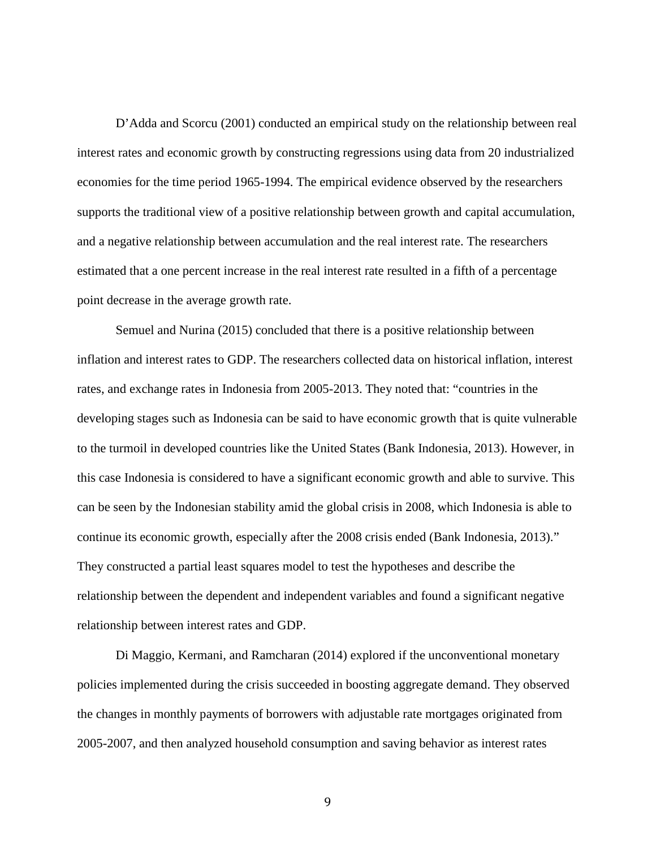D'Adda and Scorcu (2001) conducted an empirical study on the relationship between real interest rates and economic growth by constructing regressions using data from 20 industrialized economies for the time period 1965-1994. The empirical evidence observed by the researchers supports the traditional view of a positive relationship between growth and capital accumulation, and a negative relationship between accumulation and the real interest rate. The researchers estimated that a one percent increase in the real interest rate resulted in a fifth of a percentage point decrease in the average growth rate.

Semuel and Nurina (2015) concluded that there is a positive relationship between inflation and interest rates to GDP. The researchers collected data on historical inflation, interest rates, and exchange rates in Indonesia from 2005-2013. They noted that: "countries in the developing stages such as Indonesia can be said to have economic growth that is quite vulnerable to the turmoil in developed countries like the United States (Bank Indonesia, 2013). However, in this case Indonesia is considered to have a significant economic growth and able to survive. This can be seen by the Indonesian stability amid the global crisis in 2008, which Indonesia is able to continue its economic growth, especially after the 2008 crisis ended (Bank Indonesia, 2013)." They constructed a partial least squares model to test the hypotheses and describe the relationship between the dependent and independent variables and found a significant negative relationship between interest rates and GDP.

Di Maggio, Kermani, and Ramcharan (2014) explored if the unconventional monetary policies implemented during the crisis succeeded in boosting aggregate demand. They observed the changes in monthly payments of borrowers with adjustable rate mortgages originated from 2005-2007, and then analyzed household consumption and saving behavior as interest rates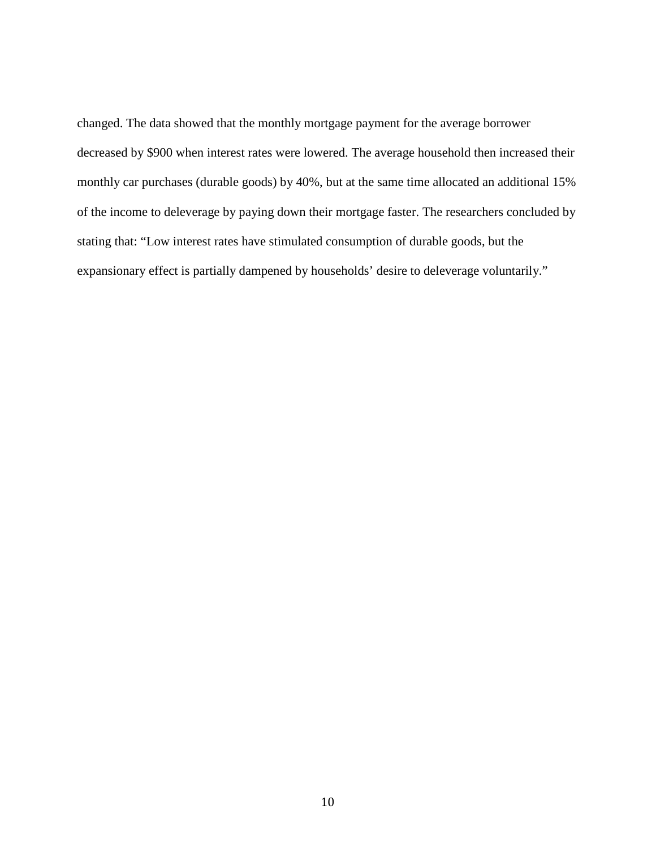changed. The data showed that the monthly mortgage payment for the average borrower decreased by \$900 when interest rates were lowered. The average household then increased their monthly car purchases (durable goods) by 40%, but at the same time allocated an additional 15% of the income to deleverage by paying down their mortgage faster. The researchers concluded by stating that: "Low interest rates have stimulated consumption of durable goods, but the expansionary effect is partially dampened by households' desire to deleverage voluntarily."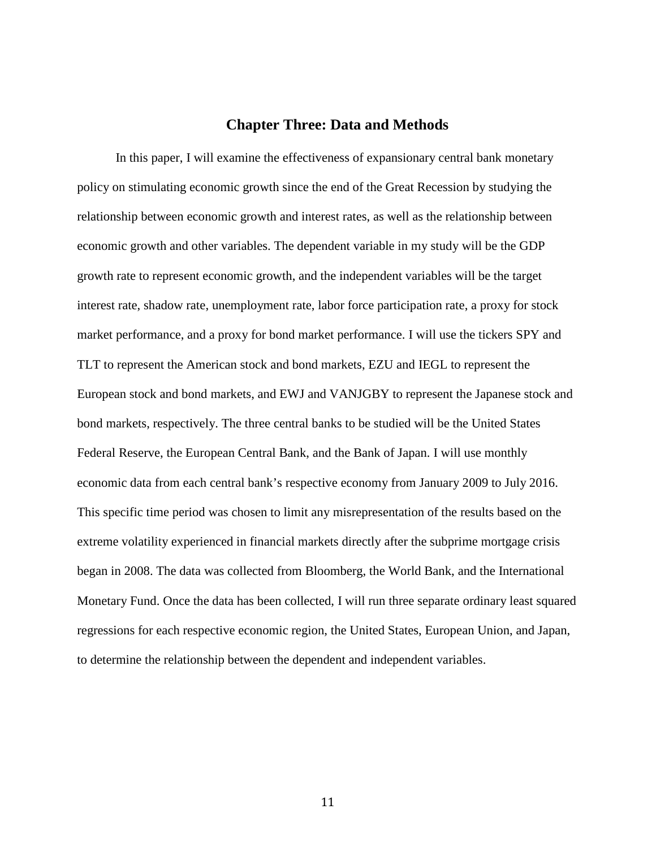## **Chapter Three: Data and Methods**

In this paper, I will examine the effectiveness of expansionary central bank monetary policy on stimulating economic growth since the end of the Great Recession by studying the relationship between economic growth and interest rates, as well as the relationship between economic growth and other variables. The dependent variable in my study will be the GDP growth rate to represent economic growth, and the independent variables will be the target interest rate, shadow rate, unemployment rate, labor force participation rate, a proxy for stock market performance, and a proxy for bond market performance. I will use the tickers SPY and TLT to represent the American stock and bond markets, EZU and IEGL to represent the European stock and bond markets, and EWJ and VANJGBY to represent the Japanese stock and bond markets, respectively. The three central banks to be studied will be the United States Federal Reserve, the European Central Bank, and the Bank of Japan. I will use monthly economic data from each central bank's respective economy from January 2009 to July 2016. This specific time period was chosen to limit any misrepresentation of the results based on the extreme volatility experienced in financial markets directly after the subprime mortgage crisis began in 2008. The data was collected from Bloomberg, the World Bank, and the International Monetary Fund. Once the data has been collected, I will run three separate ordinary least squared regressions for each respective economic region, the United States, European Union, and Japan, to determine the relationship between the dependent and independent variables.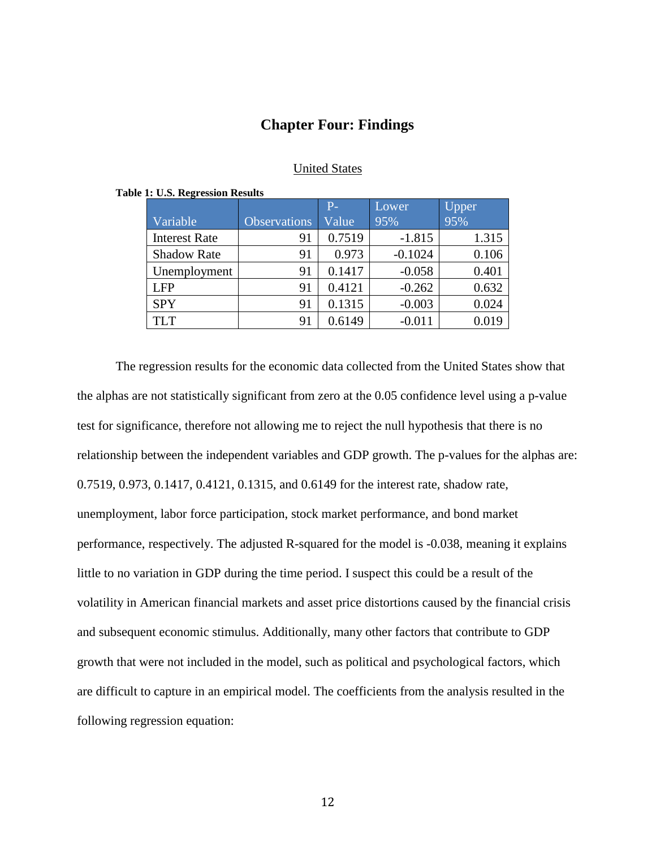## **Chapter Four: Findings**

## United States

|                      |                     | $P-$   | Lower     | Upper |
|----------------------|---------------------|--------|-----------|-------|
| Variable             | <b>Observations</b> | Value  | 95%       | 95%   |
| <b>Interest Rate</b> | 91                  | 0.7519 | $-1.815$  | 1.315 |
| <b>Shadow Rate</b>   | 91                  | 0.973  | $-0.1024$ | 0.106 |
| Unemployment         | 91                  | 0.1417 | $-0.058$  | 0.401 |
| <b>LFP</b>           | 91                  | 0.4121 | $-0.262$  | 0.632 |
| <b>SPY</b>           | 91                  | 0.1315 | $-0.003$  | 0.024 |
| <b>TLT</b>           | 91                  | 0.6149 | $-0.011$  | 0.019 |

#### **Table 1: U.S. Regression Results**

The regression results for the economic data collected from the United States show that the alphas are not statistically significant from zero at the 0.05 confidence level using a p-value test for significance, therefore not allowing me to reject the null hypothesis that there is no relationship between the independent variables and GDP growth. The p-values for the alphas are: 0.7519, 0.973, 0.1417, 0.4121, 0.1315, and 0.6149 for the interest rate, shadow rate, unemployment, labor force participation, stock market performance, and bond market performance, respectively. The adjusted R-squared for the model is -0.038, meaning it explains little to no variation in GDP during the time period. I suspect this could be a result of the volatility in American financial markets and asset price distortions caused by the financial crisis and subsequent economic stimulus. Additionally, many other factors that contribute to GDP growth that were not included in the model, such as political and psychological factors, which are difficult to capture in an empirical model. The coefficients from the analysis resulted in the following regression equation: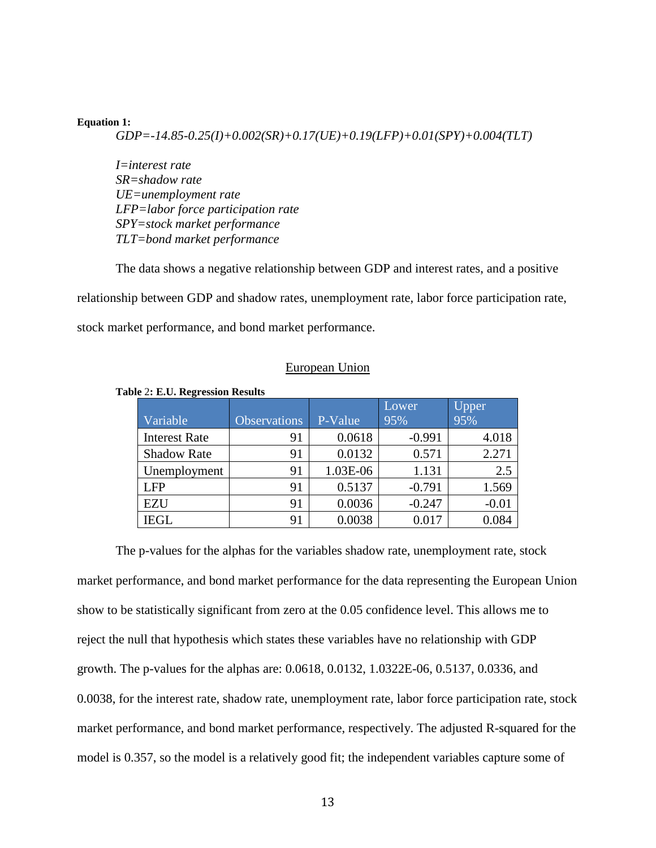#### **Equation 1:**

*GDP=-14.85-0.25(I)+0.002(SR)+0.17(UE)+0.19(LFP)+0.01(SPY)+0.004(TLT)*

*I=interest rate SR=shadow rate UE=unemployment rate LFP=labor force participation rate SPY=stock market performance TLT=bond market performance*

The data shows a negative relationship between GDP and interest rates, and a positive relationship between GDP and shadow rates, unemployment rate, labor force participation rate, stock market performance, and bond market performance.

### European Union

|                      |                     |          | Lower    | Upper   |
|----------------------|---------------------|----------|----------|---------|
| Variable             | <b>Observations</b> | P-Value  | 95%      | 95%     |
| <b>Interest Rate</b> | 91                  | 0.0618   | $-0.991$ | 4.018   |
| <b>Shadow Rate</b>   | 91                  | 0.0132   | 0.571    | 2.271   |
| Unemployment         | 91                  | 1.03E-06 | 1.131    | 2.5     |
| <b>LFP</b>           | 91                  | 0.5137   | $-0.791$ | 1.569   |
| <b>EZU</b>           | 91                  | 0.0036   | $-0.247$ | $-0.01$ |
| <b>IEGL</b>          | 91                  | 0.0038   | 0.017    |         |

**Table** 2**: E.U. Regression Results**

The p-values for the alphas for the variables shadow rate, unemployment rate, stock market performance, and bond market performance for the data representing the European Union show to be statistically significant from zero at the 0.05 confidence level. This allows me to reject the null that hypothesis which states these variables have no relationship with GDP growth. The p-values for the alphas are: 0.0618, 0.0132, 1.0322E-06, 0.5137, 0.0336, and 0.0038, for the interest rate, shadow rate, unemployment rate, labor force participation rate, stock market performance, and bond market performance, respectively. The adjusted R-squared for the model is 0.357, so the model is a relatively good fit; the independent variables capture some of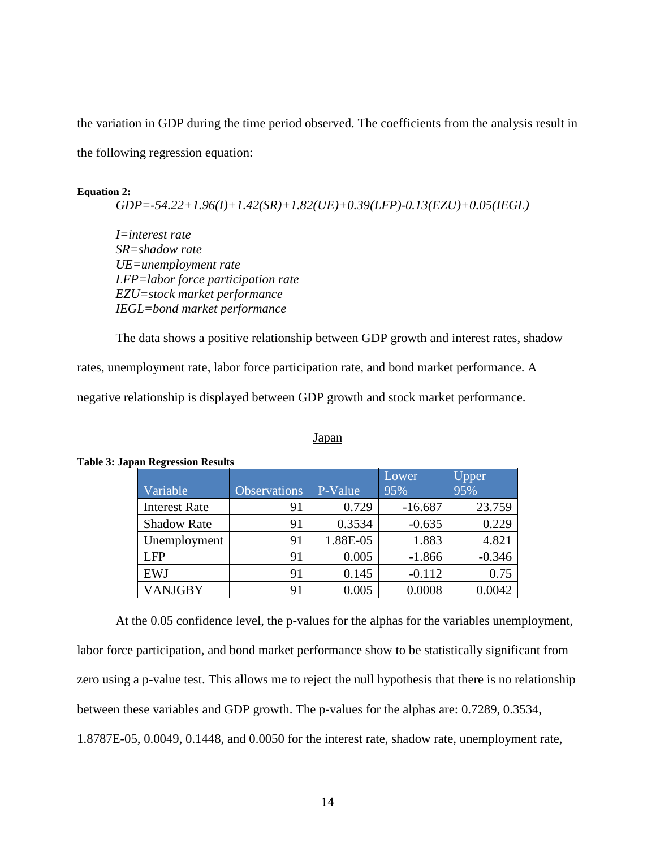the variation in GDP during the time period observed. The coefficients from the analysis result in the following regression equation:

#### **Equation 2:**

*GDP=-54.22+1.96(I)+1.42(SR)+1.82(UE)+0.39(LFP)-0.13(EZU)+0.05(IEGL)*

*I=interest rate SR=shadow rate UE=unemployment rate LFP=labor force participation rate EZU=stock market performance IEGL=bond market performance*

The data shows a positive relationship between GDP growth and interest rates, shadow

rates, unemployment rate, labor force participation rate, and bond market performance. A

negative relationship is displayed between GDP growth and stock market performance.

### Japan

| -                    |                     |          | Lower     | <b>Upper</b> |
|----------------------|---------------------|----------|-----------|--------------|
| Variable             | <b>Observations</b> | P-Value  | 95%       | 95%          |
| <b>Interest Rate</b> | 91                  | 0.729    | $-16.687$ | 23.759       |
| <b>Shadow Rate</b>   | 91                  | 0.3534   | $-0.635$  | 0.229        |
| Unemployment         | 91                  | 1.88E-05 | 1.883     | 4.821        |
| <b>LFP</b>           | 91                  | 0.005    | $-1.866$  | $-0.346$     |
| <b>EWJ</b>           | 91                  | 0.145    | $-0.112$  | 0.75         |
| VANJGBY              | 91                  | 0.005    | 0.0008    | 0.0042       |

#### **Table 3: Japan Regression Results**

At the 0.05 confidence level, the p-values for the alphas for the variables unemployment, labor force participation, and bond market performance show to be statistically significant from zero using a p-value test. This allows me to reject the null hypothesis that there is no relationship between these variables and GDP growth. The p-values for the alphas are: 0.7289, 0.3534, 1.8787E-05, 0.0049, 0.1448, and 0.0050 for the interest rate, shadow rate, unemployment rate,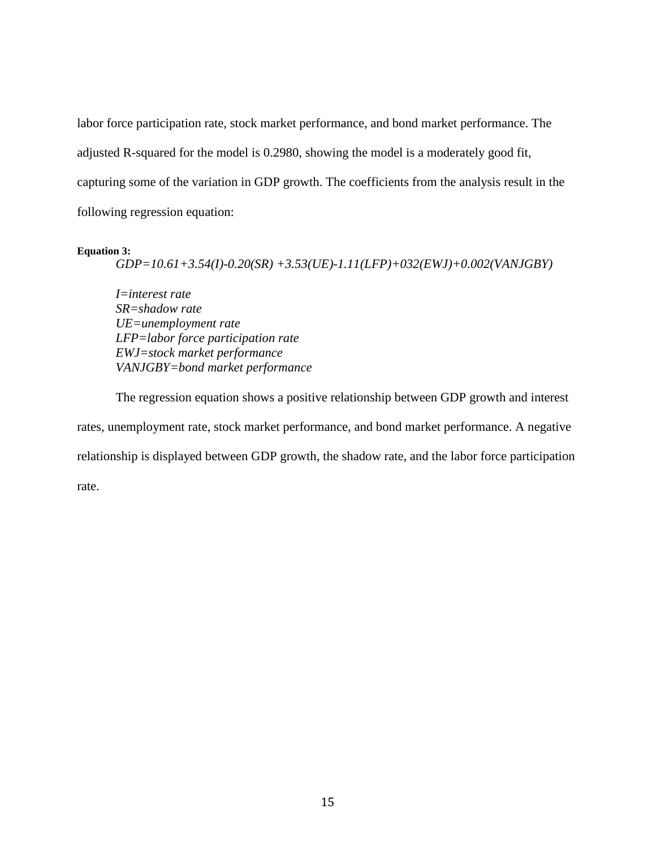labor force participation rate, stock market performance, and bond market performance. The adjusted R-squared for the model is 0.2980, showing the model is a moderately good fit, capturing some of the variation in GDP growth. The coefficients from the analysis result in the following regression equation:

#### **Equation 3:**

*GDP=10.61+3.54(I)-0.20(SR) +3.53(UE)-1.11(LFP)+032(EWJ)+0.002(VANJGBY)*

*I=interest rate SR=shadow rate UE=unemployment rate LFP=labor force participation rate EWJ=stock market performance VANJGBY=bond market performance*

The regression equation shows a positive relationship between GDP growth and interest rates, unemployment rate, stock market performance, and bond market performance. A negative relationship is displayed between GDP growth, the shadow rate, and the labor force participation rate.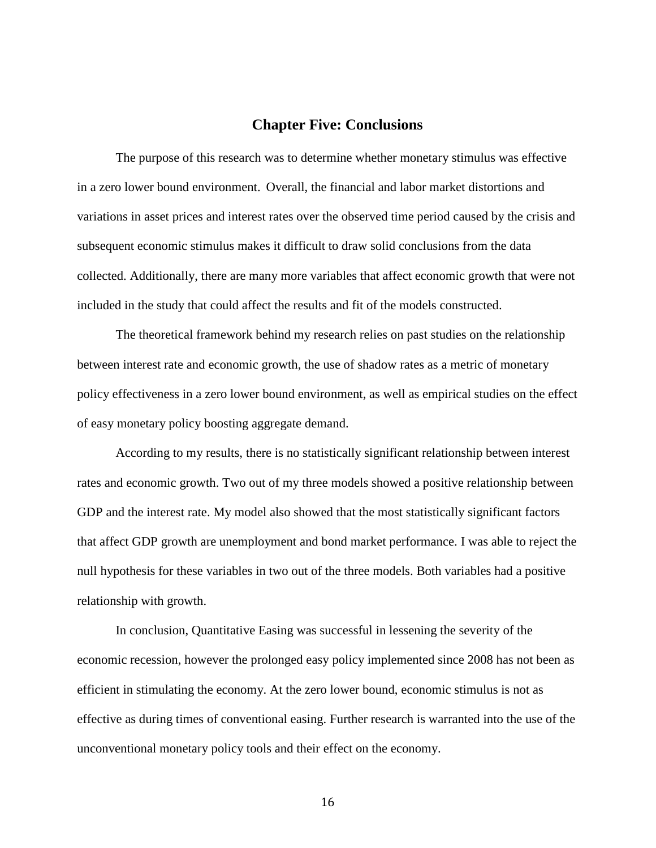## **Chapter Five: Conclusions**

The purpose of this research was to determine whether monetary stimulus was effective in a zero lower bound environment. Overall, the financial and labor market distortions and variations in asset prices and interest rates over the observed time period caused by the crisis and subsequent economic stimulus makes it difficult to draw solid conclusions from the data collected. Additionally, there are many more variables that affect economic growth that were not included in the study that could affect the results and fit of the models constructed.

The theoretical framework behind my research relies on past studies on the relationship between interest rate and economic growth, the use of shadow rates as a metric of monetary policy effectiveness in a zero lower bound environment, as well as empirical studies on the effect of easy monetary policy boosting aggregate demand.

According to my results, there is no statistically significant relationship between interest rates and economic growth. Two out of my three models showed a positive relationship between GDP and the interest rate. My model also showed that the most statistically significant factors that affect GDP growth are unemployment and bond market performance. I was able to reject the null hypothesis for these variables in two out of the three models. Both variables had a positive relationship with growth.

In conclusion, Quantitative Easing was successful in lessening the severity of the economic recession, however the prolonged easy policy implemented since 2008 has not been as efficient in stimulating the economy. At the zero lower bound, economic stimulus is not as effective as during times of conventional easing. Further research is warranted into the use of the unconventional monetary policy tools and their effect on the economy.